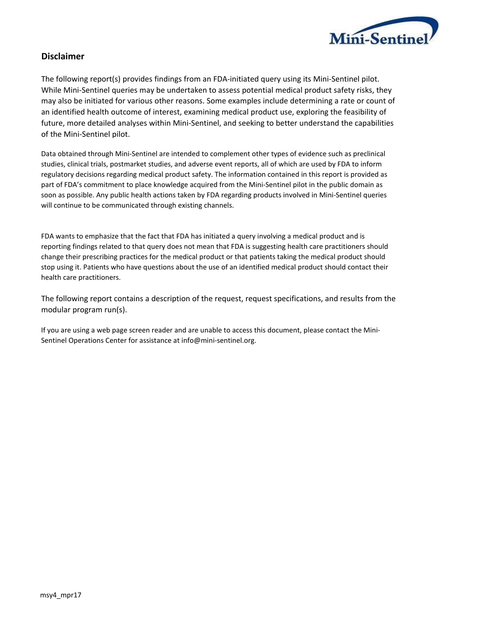

# **Disclaimer**

The following report(s) provides findings from an FDA-initiated query using its Mini-Sentinel pilot. While Mini-Sentinel queries may be undertaken to assess potential medical product safety risks, they may also be initiated for various other reasons. Some examples include determining a rate or count of an identified health outcome of interest, examining medical product use, exploring the feasibility of future, more detailed analyses within Mini-Sentinel, and seeking to better understand the capabilities of the Mini-Sentinel pilot.

Data obtained through Mini-Sentinel are intended to complement other types of evidence such as preclinical studies, clinical trials, postmarket studies, and adverse event reports, all of which are used by FDA to inform regulatory decisions regarding medical product safety. The information contained in this report is provided as part of FDA's commitment to place knowledge acquired from the Mini-Sentinel pilot in the public domain as soon as possible. Any public health actions taken by FDA regarding products involved in Mini-Sentinel queries will continue to be communicated through existing channels.

FDA wants to emphasize that the fact that FDA has initiated a query involving a medical product and is reporting findings related to that query does not mean that FDA is suggesting health care practitioners should change their prescribing practices for the medical product or that patients taking the medical product should stop using it. Patients who have questions about the use of an identified medical product should contact their health care practitioners.

The following report contains a description of the request, request specifications, and results from the modular program run(s).

If you are using a web page screen reader and are unable to access this document, please contact the Mini-Sentinel Operations Center for assistance at info@mini‐sentinel.org.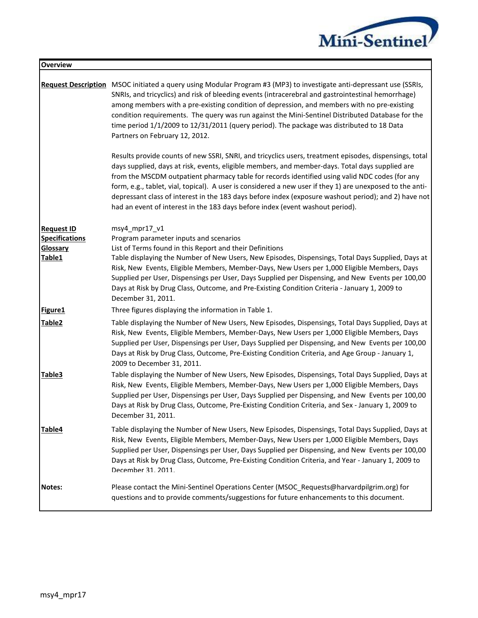

| <b>Overview</b>                                                  |                                                                                                                                                                                                                                                                                                                                                                                                                                                                                                                                                                                                                   |
|------------------------------------------------------------------|-------------------------------------------------------------------------------------------------------------------------------------------------------------------------------------------------------------------------------------------------------------------------------------------------------------------------------------------------------------------------------------------------------------------------------------------------------------------------------------------------------------------------------------------------------------------------------------------------------------------|
|                                                                  | Request Description MSOC initiated a query using Modular Program #3 (MP3) to investigate anti-depressant use (SSRIs,<br>SNRIs, and tricyclics) and risk of bleeding events (intracerebral and gastrointestinal hemorrhage)<br>among members with a pre-existing condition of depression, and members with no pre-existing<br>condition requirements. The query was run against the Mini-Sentinel Distributed Database for the<br>time period 1/1/2009 to 12/31/2011 (query period). The package was distributed to 18 Data<br>Partners on February 12, 2012.                                                      |
|                                                                  | Results provide counts of new SSRI, SNRI, and tricyclics users, treatment episodes, dispensings, total<br>days supplied, days at risk, events, eligible members, and member-days. Total days supplied are<br>from the MSCDM outpatient pharmacy table for records identified using valid NDC codes (for any<br>form, e.g., tablet, vial, topical). A user is considered a new user if they 1) are unexposed to the anti-<br>depressant class of interest in the 183 days before index (exposure washout period); and 2) have not<br>had an event of interest in the 183 days before index (event washout period). |
| <b>Request ID</b><br><b>Specifications</b><br>Glossary<br>Table1 | $msy4_mpr17_v1$<br>Program parameter inputs and scenarios<br>List of Terms found in this Report and their Definitions<br>Table displaying the Number of New Users, New Episodes, Dispensings, Total Days Supplied, Days at<br>Risk, New Events, Eligible Members, Member-Days, New Users per 1,000 Eligible Members, Days<br>Supplied per User, Dispensings per User, Days Supplied per Dispensing, and New Events per 100,00<br>Days at Risk by Drug Class, Outcome, and Pre-Existing Condition Criteria - January 1, 2009 to<br>December 31, 2011.                                                              |
| Figure1                                                          | Three figures displaying the information in Table 1.                                                                                                                                                                                                                                                                                                                                                                                                                                                                                                                                                              |
| Table2                                                           | Table displaying the Number of New Users, New Episodes, Dispensings, Total Days Supplied, Days at<br>Risk, New Events, Eligible Members, Member-Days, New Users per 1,000 Eligible Members, Days<br>Supplied per User, Dispensings per User, Days Supplied per Dispensing, and New Events per 100,00<br>Days at Risk by Drug Class, Outcome, Pre-Existing Condition Criteria, and Age Group - January 1,<br>2009 to December 31, 2011.                                                                                                                                                                            |
| Table <sub>3</sub>                                               | Table displaying the Number of New Users, New Episodes, Dispensings, Total Days Supplied, Days at<br>Risk, New Events, Eligible Members, Member-Days, New Users per 1,000 Eligible Members, Days<br>Supplied per User, Dispensings per User, Days Supplied per Dispensing, and New Events per 100,00<br>Days at Risk by Drug Class, Outcome, Pre-Existing Condition Criteria, and Sex - January 1, 2009 to<br>December 31, 2011.                                                                                                                                                                                  |
| Table4                                                           | Table displaying the Number of New Users, New Episodes, Dispensings, Total Days Supplied, Days at<br>Risk, New Events, Eligible Members, Member-Days, New Users per 1,000 Eligible Members, Days<br>Supplied per User, Dispensings per User, Days Supplied per Dispensing, and New Events per 100,00<br>Days at Risk by Drug Class, Outcome, Pre-Existing Condition Criteria, and Year - January 1, 2009 to<br>December 31, 2011.                                                                                                                                                                                 |
| Notes:                                                           | Please contact the Mini-Sentinel Operations Center (MSOC_Requests@harvardpilgrim.org) for<br>questions and to provide comments/suggestions for future enhancements to this document.                                                                                                                                                                                                                                                                                                                                                                                                                              |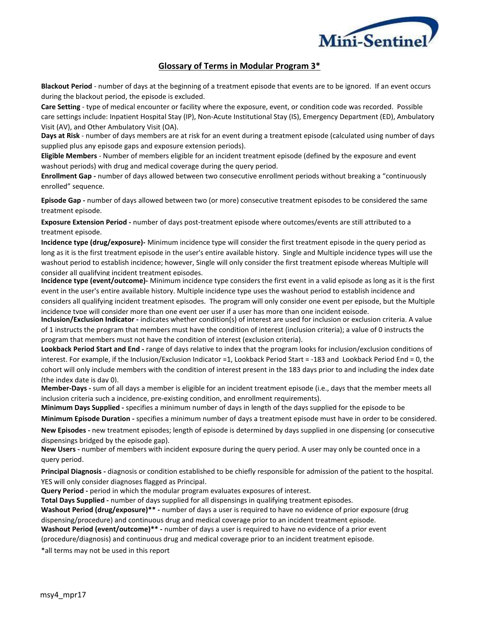

# **Glossary of Terms in Modular Program 3\***

**Blackout Period** - number of days at the beginning of a treatment episode that events are to be ignored. If an event occurs during the blackout period, the episode is excluded.

**Care Setting** - type of medical encounter or facility where the exposure, event, or condition code was recorded. Possible care settings include: Inpatient Hospital Stay (IP), Non-Acute Institutional Stay (IS), Emergency Department (ED), Ambulatory Visit (AV), and Other Ambulatory Visit (OA).

**Days at Risk** - number of days members are at risk for an event during a treatment episode (calculated using number of days supplied plus any episode gaps and exposure extension periods).

**Eligible Members** - Number of members eligible for an incident treatment episode (defined by the exposure and event washout periods) with drug and medical coverage during the query period.

**Enrollment Gap -** number of days allowed between two consecutive enrollment periods without breaking a "continuously enrolled" sequence.

**Episode Gap -** number of days allowed between two (or more) consecutive treatment episodes to be considered the same treatment episode.

**Exposure Extension Period -** number of days post-treatment episode where outcomes/events are still attributed to a treatment episode.

**Incidence type (drug/exposure)-** Minimum incidence type will consider the first treatment episode in the query period as long as it is the first treatment episode in the user's entire available history. Single and Multiple incidence types will use the washout period to establish incidence; however, Single will only consider the first treatment episode whereas Multiple will consider all qualifying incident treatment episodes.

**Incidence type (event/outcome)-** Minimum incidence type considers the first event in a valid episode as long as it is the first event in the user's entire available history. Multiple incidence type uses the washout period to establish incidence and considers all qualifying incident treatment episodes. The program will only consider one event per episode, but the Multiple incidence type will consider more than one event per user if a user has more than one incident episode.

**Inclusion/Exclusion Indicator -** indicates whether condition(s) of interest are used for inclusion or exclusion criteria. A value of 1 instructs the program that members must have the condition of interest (inclusion criteria); a value of 0 instructs the program that members must not have the condition of interest (exclusion criteria).

**Lookback Period Start and End -** range of days relative to index that the program looks for inclusion/exclusion conditions of interest. For example, if the Inclusion/Exclusion Indicator =1, Lookback Period Start = -183 and Lookback Period End = 0, the cohort will only include members with the condition of interest present in the 183 days prior to and including the index date (the index date is day 0).

**Member-Days -** sum of all days a member is eligible for an incident treatment episode (i.e., days that the member meets all inclusion criteria such a incidence, pre-existing condition, and enrollment requirements).

**Minimum Days Supplied -** specifies a minimum number of days in length of the days supplied for the episode to be

considered. **Minimum Episode Duration -** specifies a minimum number of days a treatment episode must have in order to be considered.

**New Episodes -** new treatment episodes; length of episode is determined by days supplied in one dispensing (or consecutive dispensings bridged by the episode gap).

**New Users -** number of members with incident exposure during the query period. A user may only be counted once in a query period.

**Principal Diagnosis -** diagnosis or condition established to be chiefly responsible for admission of the patient to the hospital. YES will only consider diagnoses flagged as Principal.

**Query Period -** period in which the modular program evaluates exposures of interest.

**Total Days Supplied -** number of days supplied for all dispensings in qualifying treatment episodes.

**Washout Period (drug/exposure)\*\* -** number of days a user is required to have no evidence of prior exposure (drug dispensing/procedure) and continuous drug and medical coverage prior to an incident treatment episode.

**Washout Period (event/outcome)\*\* -** number of days a user is required to have no evidence of a prior event

(procedure/diagnosis) and continuous drug and medical coverage prior to an incident treatment episode.

\*all terms may not be used in this report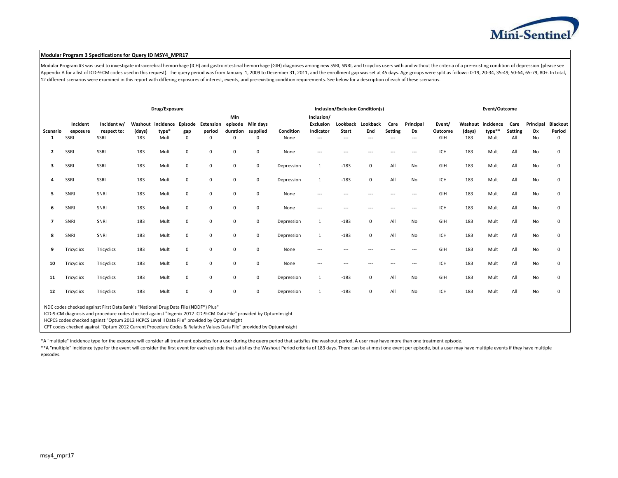

#### **Modular Program 3 Specifications for Query ID MSY4\_MPR17**

Modular Program #3 was used to investigate intracerebral hemorrhage (ICH) and gastrointestinal hemorrhage (GIH) diagnoses among new SSRI, SNRI, and tricyclics users with and without the criteria of a pre-existing condition Appendix A for a list of ICD-9-CM codes used in this request). The query period was from January 1, 2009 to December 31, 2011, and the enrollment gap was set at 45 days. Age groups were split as follows: 0-19, 20-34, 35-49 12 different scenarios were examined in this report with differing exposures of interest, events, and pre-existing condition requirements. See below for a description of each of these scenarios.

|               |                              |                                                                                                                                                                                                                                                                                                                                                                                                                              |               | Drug/Exposure                              |                 |                                 |                                   |                                           | <b>Inclusion/Exclusion Condition(s)</b> |                                                         |                                          |             |                 |                             | Event/Outcome            |                          |                             |                               |                       |                                          |
|---------------|------------------------------|------------------------------------------------------------------------------------------------------------------------------------------------------------------------------------------------------------------------------------------------------------------------------------------------------------------------------------------------------------------------------------------------------------------------------|---------------|--------------------------------------------|-----------------|---------------------------------|-----------------------------------|-------------------------------------------|-----------------------------------------|---------------------------------------------------------|------------------------------------------|-------------|-----------------|-----------------------------|--------------------------|--------------------------|-----------------------------|-------------------------------|-----------------------|------------------------------------------|
| Scenario<br>1 | Incident<br>exposure<br>SSRI | Incident w/<br>respect to:<br>SSRI                                                                                                                                                                                                                                                                                                                                                                                           | (days)<br>183 | Washout incidence Episode<br>type*<br>Mult | gap<br>$\Omega$ | Extension<br>period<br>$\Omega$ | <b>Min</b><br>episode<br>$\Omega$ | Min days<br>duration supplied<br>$\Omega$ | Condition<br>None                       | Inclusion/<br><b>Exclusion</b><br>Indicator<br>$\cdots$ | Lookback Lookback<br><b>Start</b><br>--- | End<br>---  | Care<br>Setting | Principal<br>Dx<br>$\cdots$ | Event/<br>Outcome<br>GIH | Washout<br>(days)<br>183 | incidence<br>type**<br>Mult | Care<br><b>Setting</b><br>All | Principal<br>Dx<br>No | <b>Blackout</b><br>Period<br>$\mathbf 0$ |
| 2             | SSRI                         | SSRI                                                                                                                                                                                                                                                                                                                                                                                                                         | 183           | Mult                                       | $\mathbf 0$     | 0                               | $\mathbf 0$                       | $\mathbf 0$                               | None                                    | $\cdots$                                                |                                          | ---         |                 |                             | ICH                      | 183                      | Mult                        | All                           | No                    | $\mathbf 0$                              |
| 3             | SSRI                         | SSRI                                                                                                                                                                                                                                                                                                                                                                                                                         | 183           | Mult                                       | $\mathbf 0$     | 0                               | $\mathbf 0$                       | $\mathbf 0$                               | Depression                              | 1                                                       | $-183$                                   | $\mathbf 0$ | All             | No                          | GIH                      | 183                      | Mult                        | All                           | No                    | $\mathbf 0$                              |
| 4             | SSRI                         | SSRI                                                                                                                                                                                                                                                                                                                                                                                                                         | 183           | Mult                                       | $\mathbf 0$     | $\mathbf 0$                     | $\mathbf 0$                       | $\mathbf 0$                               | Depression                              | $\mathbf{1}$                                            | $-183$                                   | 0           | All             | No                          | ICH                      | 183                      | Mult                        | All                           | No                    | $\mathbf 0$                              |
| 5             | SNRI                         | SNRI                                                                                                                                                                                                                                                                                                                                                                                                                         | 183           | Mult                                       | $\mathbf 0$     | 0                               | $\mathbf 0$                       | $\mathbf 0$                               | None                                    | $---$                                                   | ---                                      | ---         |                 | ---                         | GIH                      | 183                      | Mult                        | All                           | No                    | 0                                        |
| 6             | SNRI                         | SNRI                                                                                                                                                                                                                                                                                                                                                                                                                         | 183           | Mult                                       | $\mathsf 0$     | 0                               | $\mathbf 0$                       | $\mathbf 0$                               | None                                    | $\cdots$                                                | $---$                                    | $---$       | $---$           | $---$                       | ICH                      | 183                      | Mult                        | All                           | No                    | 0                                        |
| 7             | SNRI                         | SNRI                                                                                                                                                                                                                                                                                                                                                                                                                         | 183           | Mult                                       | $\mathbf 0$     | $\mathbf 0$                     | $\mathbf 0$                       | $\mathbf 0$                               | Depression                              | $\mathbf{1}$                                            | $-183$                                   | $\mathbf 0$ | All             | No                          | GIH                      | 183                      | Mult                        | All                           | No                    | $\mathbf 0$                              |
| 8             | SNRI                         | SNRI                                                                                                                                                                                                                                                                                                                                                                                                                         | 183           | Mult                                       | $\mathbf 0$     | 0                               | $\mathbf 0$                       | $\mathbf 0$                               | Depression                              | $\mathbf{1}$                                            | $-183$                                   | $\mathbf 0$ | All             | No                          | ICH                      | 183                      | Mult                        | All                           | No                    | 0                                        |
| 9             | Tricyclics                   | Tricyclics                                                                                                                                                                                                                                                                                                                                                                                                                   | 183           | Mult                                       | $\mathbf 0$     | $\mathbf 0$                     | $\mathbf 0$                       | $\mathbf 0$                               | None                                    |                                                         |                                          |             |                 | $--$                        | GIH                      | 183                      | Mult                        | All                           | No                    | $\mathbf 0$                              |
| 10            | Tricyclics                   | Tricyclics                                                                                                                                                                                                                                                                                                                                                                                                                   | 183           | Mult                                       | $\mathsf 0$     | 0                               | $\mathbf 0$                       | $\mathbf 0$                               | None                                    | ---                                                     | ---                                      | ---         |                 | ---                         | ICH                      | 183                      | Mult                        | All                           | No                    | 0                                        |
| 11            | Tricyclics                   | Tricyclics                                                                                                                                                                                                                                                                                                                                                                                                                   | 183           | Mult                                       | $\pmb{0}$       | 0                               | $\mathbf 0$                       | $\mathbf 0$                               | Depression                              | 1                                                       | $-183$                                   | $\mathbf 0$ | All             | No                          | GIH                      | 183                      | Mult                        | All                           | No                    | 0                                        |
| 12            | Tricyclics                   | Tricyclics                                                                                                                                                                                                                                                                                                                                                                                                                   | 183           | Mult                                       | $\mathbf 0$     | 0                               | $\mathbf 0$                       | $\mathbf 0$                               | Depression                              | 1                                                       | $-183$                                   | $\mathbf 0$ | All             | No                          | <b>ICH</b>               | 183                      | Mult                        | All                           | No                    | 0                                        |
|               |                              | NDC codes checked against First Data Bank's "National Drug Data File (NDDF®) Plus"<br>ICD-9-CM diagnosis and procedure codes checked against "Ingenix 2012 ICD-9-CM Data File" provided by OptumInsight<br>HCPCS codes checked against "Optum 2012 HCPCS Level II Data File" provided by OptumInsight<br>CPT codes checked against "Optum 2012 Current Procedure Codes & Relative Values Data File" provided by OptumInsight |               |                                            |                 |                                 |                                   |                                           |                                         |                                                         |                                          |             |                 |                             |                          |                          |                             |                               |                       |                                          |

\*A "multiple" incidence type for the exposure will consider all treatment episodes for a user during the query period that satisfies the washout period. A user may have more than one treatment episode.

\*\*A "multiple" incidence type for the event will consider the first event for each episode that satisfies the Washout Period criteria of 183 days. There can be at most one event per episode, but a user may have multiple ev episodes.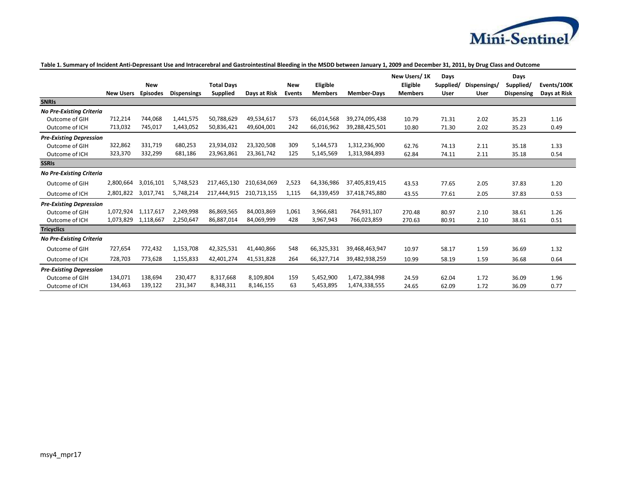

## **Table 1. Summary of Incident Anti-Depressant Use and Intracerebral and Gastrointestinal Bleeding in the MSDD between January 1, 2009 and December 31, 2011, by Drug Class and Outcome**

|                                 |                  |                 |                    |                   |              |        |                |                    | New Users/1K   | Days        |              | Days              |              |
|---------------------------------|------------------|-----------------|--------------------|-------------------|--------------|--------|----------------|--------------------|----------------|-------------|--------------|-------------------|--------------|
|                                 |                  | <b>New</b>      |                    | <b>Total Days</b> |              | New    | Eligible       |                    | Eligible       | Supplied/   | Dispensings/ | Supplied/         | Events/100K  |
|                                 | <b>New Users</b> | <b>Episodes</b> | <b>Dispensings</b> | <b>Supplied</b>   | Days at Risk | Events | <b>Members</b> | <b>Member-Davs</b> | <b>Members</b> | <b>User</b> | User         | <b>Dispensing</b> | Days at Risk |
| <b>SNRIS</b>                    |                  |                 |                    |                   |              |        |                |                    |                |             |              |                   |              |
| <b>No Pre-Existing Criteria</b> |                  |                 |                    |                   |              |        |                |                    |                |             |              |                   |              |
| Outcome of GIH                  | 712,214          | 744,068         | 1,441,575          | 50,788,629        | 49,534,617   | 573    | 66,014,568     | 39,274,095,438     | 10.79          | 71.31       | 2.02         | 35.23             | 1.16         |
| Outcome of ICH                  | 713,032          | 745,017         | 1,443,052          | 50,836,421        | 49,604,001   | 242    | 66,016,962     | 39,288,425,501     | 10.80          | 71.30       | 2.02         | 35.23             | 0.49         |
| <b>Pre-Existing Depression</b>  |                  |                 |                    |                   |              |        |                |                    |                |             |              |                   |              |
| Outcome of GIH                  | 322,862          | 331,719         | 680,253            | 23,934,032        | 23,320,508   | 309    | 5,144,573      | 1,312,236,900      | 62.76          | 74.13       | 2.11         | 35.18             | 1.33         |
| Outcome of ICH                  | 323,370          | 332,299         | 681,186            | 23,963,861        | 23,361,742   | 125    | 5,145,569      | 1,313,984,893      | 62.84          | 74.11       | 2.11         | 35.18             | 0.54         |
| <b>SSRIS</b>                    |                  |                 |                    |                   |              |        |                |                    |                |             |              |                   |              |
| <b>No Pre-Existing Criteria</b> |                  |                 |                    |                   |              |        |                |                    |                |             |              |                   |              |
| Outcome of GIH                  | 2,800,664        | 3,016,101       | 5,748,523          | 217,465,130       | 210,634,069  | 2,523  | 64,336,986     | 37,405,819,415     | 43.53          | 77.65       | 2.05         | 37.83             | 1.20         |
| Outcome of ICH                  | 2,801,822        | 3,017,741       | 5,748,214          | 217,444,915       | 210,713,155  | 1,115  | 64,339,459     | 37,418,745,880     | 43.55          | 77.61       | 2.05         | 37.83             | 0.53         |
| <b>Pre-Existing Depression</b>  |                  |                 |                    |                   |              |        |                |                    |                |             |              |                   |              |
| Outcome of GIH                  | 1,072,924        | 1,117,617       | 2,249,998          | 86,869,565        | 84,003,869   | 1,061  | 3,966,681      | 764,931,107        | 270.48         | 80.97       | 2.10         | 38.61             | 1.26         |
| Outcome of ICH                  | 1,073,829        | 1,118,667       | 2,250,647          | 86,887,014        | 84,069,999   | 428    | 3,967,943      | 766,023,859        | 270.63         | 80.91       | 2.10         | 38.61             | 0.51         |
| <b>Tricyclics</b>               |                  |                 |                    |                   |              |        |                |                    |                |             |              |                   |              |
| <b>No Pre-Existing Criteria</b> |                  |                 |                    |                   |              |        |                |                    |                |             |              |                   |              |
| Outcome of GIH                  | 727,654          | 772,432         | 1,153,708          | 42,325,531        | 41,440,866   | 548    | 66,325,331     | 39,468,463,947     | 10.97          | 58.17       | 1.59         | 36.69             | 1.32         |
| Outcome of ICH                  | 728,703          | 773,628         | 1,155,833          | 42,401,274        | 41,531,828   | 264    | 66,327,714     | 39,482,938,259     | 10.99          | 58.19       | 1.59         | 36.68             | 0.64         |
| <b>Pre-Existing Depression</b>  |                  |                 |                    |                   |              |        |                |                    |                |             |              |                   |              |
| Outcome of GIH                  | 134,071          | 138.694         | 230.477            | 8,317,668         | 8,109,804    | 159    | 5,452,900      | 1,472,384,998      | 24.59          | 62.04       | 1.72         | 36.09             | 1.96         |
| Outcome of ICH                  | 134,463          | 139,122         | 231,347            | 8,348,311         | 8,146,155    | 63     | 5,453,895      | 1,474,338,555      | 24.65          | 62.09       | 1.72         | 36.09             | 0.77         |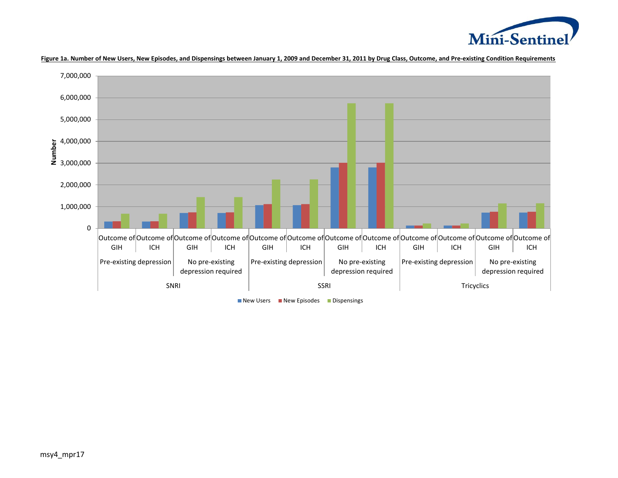



**Figure 1a. Number of New Users, New Episodes, and Dispensings between January 1, 2009 and December 31, 2011 by Drug Class, Outcome, and Pre-existing Condition Requirements**

 $\blacksquare$  New Users  $\blacksquare$  New Episodes  $\blacksquare$  Dispensings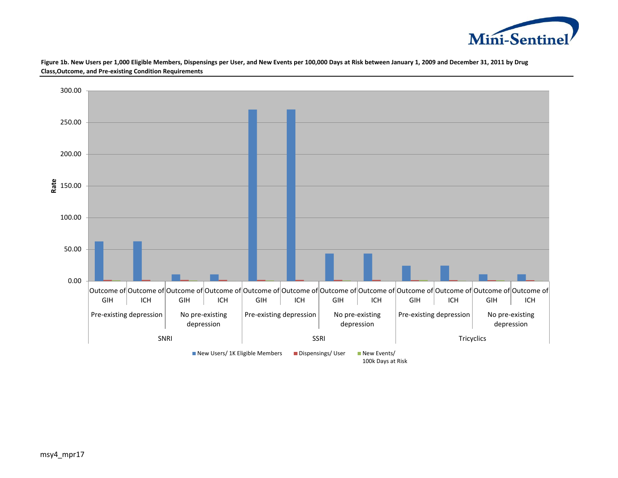

**Figure 1b. New Users per 1,000 Eligible Members, Dispensings per User, and New Events per 100,000 Days at Risk between January 1, 2009 and December 31, 2011 by Drug Class,Outcome, and Pre-existing Condition Requirements**

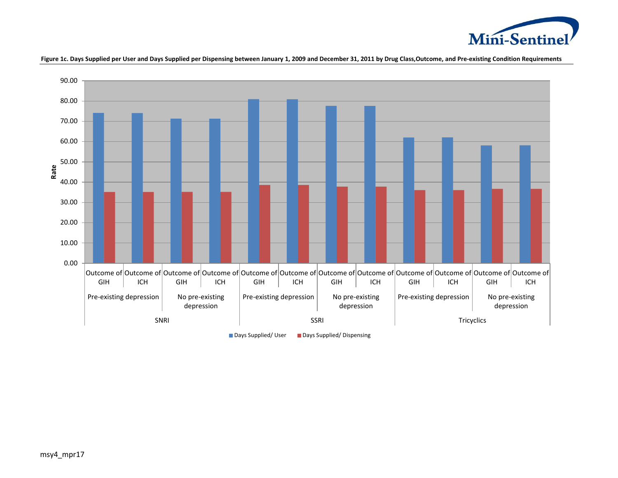

**Figure 1c. Days Supplied per User and Days Supplied per Dispensing between January 1, 2009 and December 31, 2011 by Drug Class,Outcome, and Pre-existing Condition Requirements**



■ Days Supplied/ User ■ Days Supplied/ Dispensing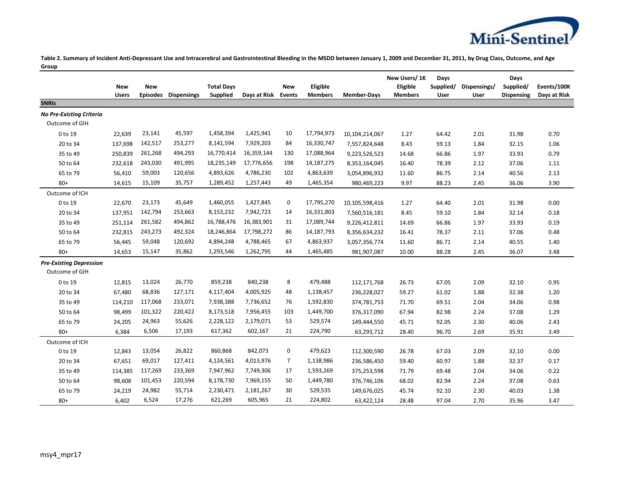

**Table 2. Summary of Incident Anti-Depressant Use and Intracerebral and Gastrointestinal Bleeding in the MSDD between January 1, 2009 and December 31, 2011, by Drug Class, Outcome, and Age Group**

|                                 |              |                 |                    |                   |              |               |                |                    | New Users/1K   | Days      |              | Days              |              |
|---------------------------------|--------------|-----------------|--------------------|-------------------|--------------|---------------|----------------|--------------------|----------------|-----------|--------------|-------------------|--------------|
|                                 | <b>New</b>   | <b>New</b>      |                    | <b>Total Days</b> |              | <b>New</b>    | Eligible       |                    | Eligible       | Supplied/ | Dispensings/ | Supplied/         | Events/100K  |
|                                 | <b>Users</b> | <b>Episodes</b> | <b>Dispensings</b> | Supplied          | Days at Risk | <b>Events</b> | <b>Members</b> | <b>Member-Days</b> | <b>Members</b> | User      | User         | <b>Dispensing</b> | Days at Risk |
| <b>SNRIS</b>                    |              |                 |                    |                   |              |               |                |                    |                |           |              |                   |              |
| <b>No Pre-Existing Criteria</b> |              |                 |                    |                   |              |               |                |                    |                |           |              |                   |              |
| Outcome of GIH                  |              |                 |                    |                   |              |               |                |                    |                |           |              |                   |              |
| 0 to 19                         | 22,639       | 23,141          | 45,597             | 1,458,394         | 1,425,941    | 10            | 17,794,973     | 10,104,214,067     | 1.27           | 64.42     | 2.01         | 31.98             | 0.70         |
| 20 to 34                        | 137,698      | 142,517         | 253,277            | 8,141,594         | 7,929,203    | 84            | 16,330,747     | 7,557,824,648      | 8.43           | 59.13     | 1.84         | 32.15             | 1.06         |
| 35 to 49                        | 250,839      | 261,268         | 494,293            | 16,770,414        | 16,359,144   | 130           | 17,088,964     | 9,223,526,523      | 14.68          | 66.86     | 1.97         | 33.93             | 0.79         |
| 50 to 64                        | 232,618      | 243,030         | 491,995            | 18,235,149        | 17,776,656   | 198           | 14, 187, 275   | 8,353,164,045      | 16.40          | 78.39     | 2.12         | 37.06             | 1.11         |
| 65 to 79                        | 56,410       | 59,003          | 120,656            | 4,893,626         | 4,786,230    | 102           | 4,863,639      | 3,054,896,932      | 11.60          | 86.75     | 2.14         | 40.56             | 2.13         |
| $80+$                           | 14,615       | 15,109          | 35,757             | 1,289,452         | 1,257,443    | 49            | 1,465,354      | 980,469,223        | 9.97           | 88.23     | 2.45         | 36.06             | 3.90         |
| Outcome of ICH                  |              |                 |                    |                   |              |               |                |                    |                |           |              |                   |              |
| 0 to 19                         | 22,670       | 23,173          | 45,649             | 1,460,055         | 1,427,845    | $\mathbf 0$   | 17,795,270     | 10,105,598,416     | 1.27           | 64.40     | 2.01         | 31.98             | 0.00         |
| 20 to 34                        | 137,951      | 142,794         | 253,663            | 8,153,232         | 7,942,723    | 14            | 16,331,803     | 7,560,516,181      | 8.45           | 59.10     | 1.84         | 32.14             | 0.18         |
| 35 to 49                        | 251,114      | 261,582         | 494,862            | 16,788,476        | 16,383,901   | 31            | 17,089,744     | 9,226,412,811      | 14.69          | 66.86     | 1.97         | 33.93             | 0.19         |
| 50 to 64                        | 232,815      | 243,273         | 492,324            | 18,246,864        | 17,798,272   | 86            | 14,187,793     | 8,356,634,232      | 16.41          | 78.37     | 2.11         | 37.06             | 0.48         |
| 65 to 79                        | 56,445       | 59,048          | 120,692            | 4,894,248         | 4,788,465    | 67            | 4,863,937      | 3,057,356,774      | 11.60          | 86.71     | 2.14         | 40.55             | 1.40         |
| $80+$                           | 14,653       | 15,147          | 35,862             | 1,293,546         | 1,262,795    | 44            | 1,465,485      | 981,907,087        | 10.00          | 88.28     | 2.45         | 36.07             | 3.48         |
| <b>Pre-Existing Depression</b>  |              |                 |                    |                   |              |               |                |                    |                |           |              |                   |              |
| Outcome of GIH                  |              |                 |                    |                   |              |               |                |                    |                |           |              |                   |              |
| 0 to 19                         | 12,815       | 13,024          | 26,770             | 859,238           | 840,238      | 8             | 479,488        | 112,171,768        | 26.73          | 67.05     | 2.09         | 32.10             | 0.95         |
| 20 to 34                        | 67,480       | 68,836          | 127,171            | 4,117,404         | 4,005,925    | 48            | 1,138,457      | 236,228,027        | 59.27          | 61.02     | 1.88         | 32.38             | 1.20         |
| 35 to 49                        | 114,210      | 117,068         | 233,071            | 7,938,388         | 7,736,652    | 76            | 1,592,830      | 374,781,753        | 71.70          | 69.51     | 2.04         | 34.06             | 0.98         |
| 50 to 64                        | 98,499       | 101,322         | 220,422            | 8,173,518         | 7,956,455    | 103           | 1,449,700      | 376,317,090        | 67.94          | 82.98     | 2.24         | 37.08             | 1.29         |
| 65 to 79                        | 24,205       | 24,963          | 55,626             | 2,228,122         | 2,179,071    | 53            | 529,574        | 149,444,550        | 45.71          | 92.05     | 2.30         | 40.06             | 2.43         |
| $80+$                           | 6,384        | 6,506           | 17,193             | 617,362           | 602,167      | 21            | 224,790        | 63,293,712         | 28.40          | 96.70     | 2.69         | 35.91             | 3.49         |
| Outcome of ICH                  |              |                 |                    |                   |              |               |                |                    |                |           |              |                   |              |
| 0 to 19                         | 12,843       | 13,054          | 26,822             | 860,868           | 842,073      | $\mathbf 0$   | 479,623        | 112,300,590        | 26.78          | 67.03     | 2.09         | 32.10             | 0.00         |
| 20 to 34                        | 67,651       | 69,017          | 127,411            | 4,124,561         | 4,013,976    | 7             | 1,138,986      | 236,586,450        | 59.40          | 60.97     | 1.88         | 32.37             | 0.17         |
| 35 to 49                        | 114,385      | 117,269         | 233,369            | 7,947,962         | 7,749,306    | 17            | 1,593,269      | 375,253,598        | 71.79          | 69.48     | 2.04         | 34.06             | 0.22         |
| 50 to 64                        | 98,608       | 101,453         | 220,594            | 8,178,730         | 7,969,155    | 50            | 1,449,780      | 376,746,106        | 68.02          | 82.94     | 2.24         | 37.08             | 0.63         |
| 65 to 79                        | 24,219       | 24,982          | 55,714             | 2,230,471         | 2,181,267    | 30            | 529,535        | 149,676,025        | 45.74          | 92.10     | 2.30         | 40.03             | 1.38         |
| $80+$                           | 6,402        | 6,524           | 17,276             | 621,269           | 605,965      | 21            | 224,802        | 63,422,124         | 28.48          | 97.04     | 2.70         | 35.96             | 3.47         |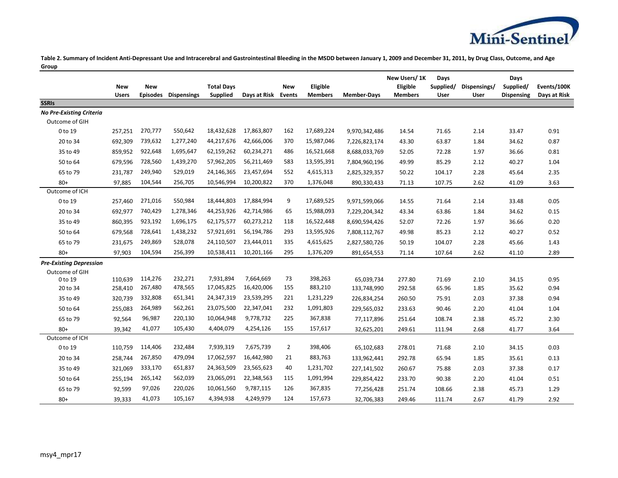

**Table 2. Summary of Incident Anti-Depressant Use and Intracerebral and Gastrointestinal Bleeding in the MSDD between January 1, 2009 and December 31, 2011, by Drug Class, Outcome, and Age Group**

|                                 |              |                 |                    |                   |              |                |                |                    | New Users/1K   | Days      |              | Days              |              |
|---------------------------------|--------------|-----------------|--------------------|-------------------|--------------|----------------|----------------|--------------------|----------------|-----------|--------------|-------------------|--------------|
|                                 | <b>New</b>   | <b>New</b>      |                    | <b>Total Days</b> |              | <b>New</b>     | Eligible       |                    | Eligible       | Supplied/ | Dispensings/ | Supplied/         | Events/100K  |
| <b>SSRIS</b>                    | <b>Users</b> | <b>Episodes</b> | <b>Dispensings</b> | Supplied          | Days at Risk | <b>Events</b>  | <b>Members</b> | <b>Member-Days</b> | <b>Members</b> | User      | <b>User</b>  | <b>Dispensing</b> | Days at Risk |
| <b>No Pre-Existing Criteria</b> |              |                 |                    |                   |              |                |                |                    |                |           |              |                   |              |
| Outcome of GIH                  |              |                 |                    |                   |              |                |                |                    |                |           |              |                   |              |
| 0 to 19                         | 257,251      | 270,777         | 550,642            | 18,432,628        | 17,863,807   | 162            | 17,689,224     | 9,970,342,486      | 14.54          | 71.65     | 2.14         | 33.47             | 0.91         |
| 20 to 34                        | 692,309      | 739,632         | 1,277,240          | 44,217,676        | 42,666,006   | 370            | 15,987,046     | 7,226,823,174      | 43.30          | 63.87     | 1.84         | 34.62             | 0.87         |
| 35 to 49                        | 859,952      | 922,648         | 1,695,647          | 62,159,262        | 60,234,271   | 486            | 16,521,668     | 8,688,033,769      | 52.05          | 72.28     | 1.97         | 36.66             | 0.81         |
| 50 to 64                        | 679,596      | 728,560         | 1,439,270          | 57,962,205        | 56,211,469   | 583            | 13,595,391     | 7,804,960,196      | 49.99          | 85.29     | 2.12         | 40.27             | 1.04         |
| 65 to 79                        | 231,787      | 249,940         | 529,019            | 24,146,365        | 23,457,694   | 552            | 4,615,313      | 2,825,329,357      | 50.22          | 104.17    | 2.28         | 45.64             | 2.35         |
| $80+$                           | 97,885       | 104,544         | 256,705            | 10,546,994        | 10,200,822   | 370            | 1,376,048      | 890,330,433        | 71.13          | 107.75    | 2.62         | 41.09             | 3.63         |
| Outcome of ICH                  |              |                 |                    |                   |              |                |                |                    |                |           |              |                   |              |
| 0 to 19                         | 257,460      | 271,016         | 550,984            | 18,444,803        | 17,884,994   | 9              | 17,689,525     | 9,971,599,066      | 14.55          | 71.64     | 2.14         | 33.48             | 0.05         |
| 20 to 34                        | 692,977      | 740,429         | 1,278,346          | 44,253,926        | 42,714,986   | 65             | 15,988,093     | 7,229,204,342      | 43.34          | 63.86     | 1.84         | 34.62             | 0.15         |
| 35 to 49                        | 860,395      | 923,192         | 1,696,175          | 62,175,577        | 60,273,212   | 118            | 16,522,448     | 8,690,594,426      | 52.07          | 72.26     | 1.97         | 36.66             | 0.20         |
| 50 to 64                        | 679,568      | 728,641         | 1,438,232          | 57,921,691        | 56,194,786   | 293            | 13,595,926     | 7,808,112,767      | 49.98          | 85.23     | 2.12         | 40.27             | 0.52         |
| 65 to 79                        | 231,675      | 249,869         | 528,078            | 24,110,507        | 23,444,011   | 335            | 4,615,625      | 2,827,580,726      | 50.19          | 104.07    | 2.28         | 45.66             | 1.43         |
| $80 +$                          | 97,903       | 104,594         | 256,399            | 10,538,411        | 10,201,166   | 295            | 1,376,209      | 891,654,553        | 71.14          | 107.64    | 2.62         | 41.10             | 2.89         |
| <b>Pre-Existing Depression</b>  |              |                 |                    |                   |              |                |                |                    |                |           |              |                   |              |
| Outcome of GIH                  |              |                 |                    |                   |              |                |                |                    |                |           |              |                   |              |
| 0 to 19                         | 110,639      | 114,276         | 232,271            | 7,931,894         | 7,664,669    | 73             | 398,263        | 65,039,734         | 277.80         | 71.69     | 2.10         | 34.15             | 0.95         |
| 20 to 34                        | 258,410      | 267,480         | 478,565            | 17,045,825        | 16,420,006   | 155            | 883,210        | 133,748,990        | 292.58         | 65.96     | 1.85         | 35.62             | 0.94         |
| 35 to 49                        | 320,739      | 332,808         | 651,341            | 24,347,319        | 23,539,295   | 221            | 1,231,229      | 226,834,254        | 260.50         | 75.91     | 2.03         | 37.38             | 0.94         |
| 50 to 64                        | 255,083      | 264,989         | 562,261            | 23,075,500        | 22,347,041   | 232            | 1,091,803      | 229,565,032        | 233.63         | 90.46     | 2.20         | 41.04             | 1.04         |
| 65 to 79                        | 92,564       | 96,987          | 220,130            | 10,064,948        | 9,778,732    | 225            | 367,838        | 77,117,896         | 251.64         | 108.74    | 2.38         | 45.72             | 2.30         |
| $80+$                           | 39,342       | 41,077          | 105,430            | 4,404,079         | 4,254,126    | 155            | 157,617        | 32,625,201         | 249.61         | 111.94    | 2.68         | 41.77             | 3.64         |
| Outcome of ICH                  |              |                 |                    |                   |              |                |                |                    |                |           |              |                   |              |
| 0 to 19                         | 110,759      | 114,406         | 232,484            | 7,939,319         | 7,675,739    | $\overline{2}$ | 398,406        | 65,102,683         | 278.01         | 71.68     | 2.10         | 34.15             | 0.03         |
| 20 to 34                        | 258,744      | 267,850         | 479,094            | 17,062,597        | 16,442,980   | 21             | 883,763        | 133,962,441        | 292.78         | 65.94     | 1.85         | 35.61             | 0.13         |
| 35 to 49                        | 321,069      | 333,170         | 651,837            | 24,363,509        | 23,565,623   | 40             | 1,231,702      | 227,141,502        | 260.67         | 75.88     | 2.03         | 37.38             | 0.17         |
| 50 to 64                        | 255,194      | 265,142         | 562,039            | 23,065,091        | 22,348,563   | 115            | 1,091,994      | 229,854,422        | 233.70         | 90.38     | 2.20         | 41.04             | 0.51         |
| 65 to 79                        | 92,599       | 97,026          | 220,026            | 10,061,560        | 9,787,115    | 126            | 367,835        | 77,256,428         | 251.74         | 108.66    | 2.38         | 45.73             | 1.29         |
| $80+$                           | 39,333       | 41,073          | 105,167            | 4,394,938         | 4,249,979    | 124            | 157,673        | 32,706,383         | 249.46         | 111.74    | 2.67         | 41.79             | 2.92         |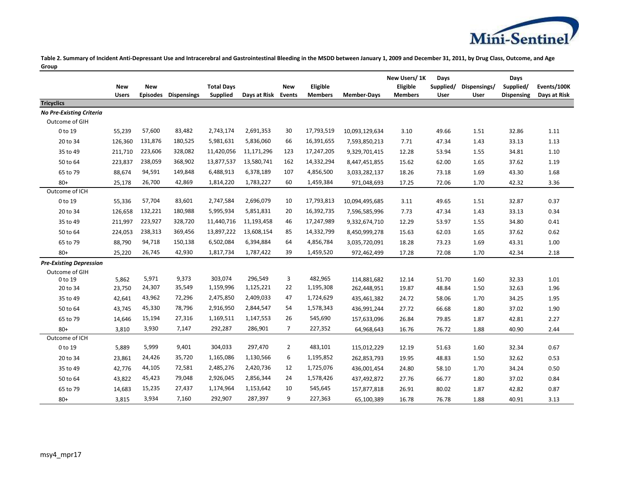

**Table 2. Summary of Incident Anti-Depressant Use and Intracerebral and Gastrointestinal Bleeding in the MSDD between January 1, 2009 and December 31, 2011, by Drug Class, Outcome, and Age Group**

|                                 |              |                 |                    |                   |              |                |                |                    | New Users/1K   | Days      |              | Days              |              |
|---------------------------------|--------------|-----------------|--------------------|-------------------|--------------|----------------|----------------|--------------------|----------------|-----------|--------------|-------------------|--------------|
|                                 | <b>New</b>   | <b>New</b>      |                    | <b>Total Days</b> |              | <b>New</b>     | Eligible       |                    | Eligible       | Supplied/ | Dispensings/ | Supplied/         | Events/100K  |
| <b>Tricyclics</b>               | <b>Users</b> | <b>Episodes</b> | <b>Dispensings</b> | Supplied          | Days at Risk | <b>Events</b>  | <b>Members</b> | <b>Member-Days</b> | <b>Members</b> | User      | User         | <b>Dispensing</b> | Days at Risk |
| <b>No Pre-Existing Criteria</b> |              |                 |                    |                   |              |                |                |                    |                |           |              |                   |              |
| Outcome of GIH                  |              |                 |                    |                   |              |                |                |                    |                |           |              |                   |              |
| 0 to 19                         | 55,239       | 57,600          | 83,482             | 2,743,174         | 2,691,353    | 30             | 17,793,519     | 10,093,129,634     | 3.10           | 49.66     | 1.51         | 32.86             | 1.11         |
| 20 to 34                        | 126,360      | 131,876         | 180,525            | 5,981,631         | 5,836,060    | 66             | 16,391,655     | 7,593,850,213      | 7.71           | 47.34     | 1.43         | 33.13             | 1.13         |
| 35 to 49                        | 211,710      | 223,606         | 328,082            | 11,420,056        | 11,171,296   | 123            | 17,247,205     | 9,329,701,415      | 12.28          | 53.94     | 1.55         | 34.81             | 1.10         |
| 50 to 64                        | 223,837      | 238,059         | 368,902            | 13,877,537        | 13,580,741   | 162            | 14,332,294     | 8,447,451,855      | 15.62          | 62.00     | 1.65         | 37.62             | 1.19         |
| 65 to 79                        | 88,674       | 94,591          | 149,848            | 6,488,913         | 6,378,189    | 107            | 4,856,500      | 3,033,282,137      | 18.26          | 73.18     | 1.69         | 43.30             | 1.68         |
| $80+$                           | 25,178       | 26,700          | 42,869             | 1,814,220         | 1,783,227    | 60             | 1,459,384      | 971,048,693        | 17.25          | 72.06     | 1.70         | 42.32             | 3.36         |
| Outcome of ICH                  |              |                 |                    |                   |              |                |                |                    |                |           |              |                   |              |
| 0 to 19                         | 55,336       | 57,704          | 83,601             | 2,747,584         | 2,696,079    | 10             | 17,793,813     | 10,094,495,685     | 3.11           | 49.65     | 1.51         | 32.87             | 0.37         |
| 20 to 34                        | 126,658      | 132,221         | 180,988            | 5,995,934         | 5,851,831    | 20             | 16,392,735     | 7,596,585,996      | 7.73           | 47.34     | 1.43         | 33.13             | 0.34         |
| 35 to 49                        | 211,997      | 223,927         | 328,720            | 11,440,716        | 11,193,458   | 46             | 17,247,989     | 9,332,674,710      | 12.29          | 53.97     | 1.55         | 34.80             | 0.41         |
| 50 to 64                        | 224,053      | 238,313         | 369,456            | 13,897,222        | 13,608,154   | 85             | 14,332,799     | 8,450,999,278      | 15.63          | 62.03     | 1.65         | 37.62             | 0.62         |
| 65 to 79                        | 88,790       | 94,718          | 150,138            | 6,502,084         | 6,394,884    | 64             | 4,856,784      | 3,035,720,091      | 18.28          | 73.23     | 1.69         | 43.31             | 1.00         |
| $80 +$                          | 25,220       | 26,745          | 42,930             | 1,817,734         | 1,787,422    | 39             | 1,459,520      | 972,462,499        | 17.28          | 72.08     | 1.70         | 42.34             | 2.18         |
| <b>Pre-Existing Depression</b>  |              |                 |                    |                   |              |                |                |                    |                |           |              |                   |              |
| Outcome of GIH                  |              |                 |                    |                   |              |                |                |                    |                |           |              |                   |              |
| 0 to 19                         | 5,862        | 5,971           | 9,373              | 303,074           | 296,549      | 3              | 482,965        | 114,881,682        | 12.14          | 51.70     | 1.60         | 32.33             | 1.01         |
| 20 to 34                        | 23,750       | 24,307          | 35,549             | 1,159,996         | 1,125,221    | 22             | 1,195,308      | 262,448,951        | 19.87          | 48.84     | 1.50         | 32.63             | 1.96         |
| 35 to 49                        | 42,641       | 43,962          | 72,296             | 2,475,850         | 2,409,033    | 47             | 1,724,629      | 435,461,382        | 24.72          | 58.06     | 1.70         | 34.25             | 1.95         |
| 50 to 64                        | 43,745       | 45,330          | 78,796             | 2,916,950         | 2,844,547    | 54             | 1,578,343      | 436,991,244        | 27.72          | 66.68     | 1.80         | 37.02             | 1.90         |
| 65 to 79                        | 14,646       | 15,194          | 27,316             | 1,169,511         | 1,147,553    | 26             | 545,690        | 157,633,096        | 26.84          | 79.85     | 1.87         | 42.81             | 2.27         |
| $80+$                           | 3,810        | 3,930           | 7,147              | 292,287           | 286,901      | $\overline{7}$ | 227,352        | 64,968,643         | 16.76          | 76.72     | 1.88         | 40.90             | 2.44         |
| Outcome of ICH                  |              |                 |                    |                   |              |                |                |                    |                |           |              |                   |              |
| 0 to 19                         | 5,889        | 5,999           | 9,401              | 304,033           | 297,470      | $\overline{2}$ | 483,101        | 115,012,229        | 12.19          | 51.63     | 1.60         | 32.34             | 0.67         |
| 20 to 34                        | 23,861       | 24,426          | 35,720             | 1,165,086         | 1,130,566    | 6              | 1,195,852      | 262,853,793        | 19.95          | 48.83     | 1.50         | 32.62             | 0.53         |
| 35 to 49                        | 42,776       | 44,105          | 72,581             | 2,485,276         | 2,420,736    | 12             | 1,725,076      | 436,001,454        | 24.80          | 58.10     | 1.70         | 34.24             | 0.50         |
| 50 to 64                        | 43,822       | 45,423          | 79,048             | 2,926,045         | 2,856,344    | 24             | 1,578,426      | 437,492,872        | 27.76          | 66.77     | 1.80         | 37.02             | 0.84         |
| 65 to 79                        | 14,683       | 15,235          | 27,437             | 1,174,964         | 1,153,642    | 10             | 545,645        | 157,877,818        | 26.91          | 80.02     | 1.87         | 42.82             | 0.87         |
| $80+$                           | 3,815        | 3,934           | 7,160              | 292,907           | 287,397      | 9              | 227,363        | 65,100,389         | 16.78          | 76.78     | 1.88         | 40.91             | 3.13         |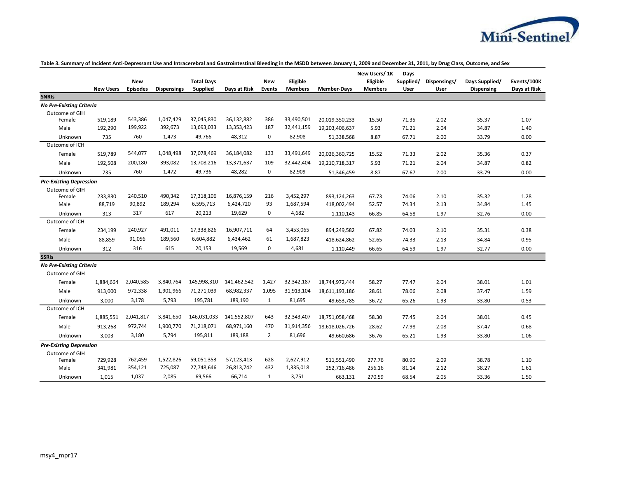

|                                 |                  | New             |                    | <b>Total Days</b> |              | <b>New</b>     | Eligible       |                    | New Users/1K<br>Eligible | Days<br>Supplied/ | Dispensings/ | Days Supplied/ | Events/100K  |
|---------------------------------|------------------|-----------------|--------------------|-------------------|--------------|----------------|----------------|--------------------|--------------------------|-------------------|--------------|----------------|--------------|
| <b>SNRIS</b>                    | <b>New Users</b> | <b>Episodes</b> | <b>Dispensings</b> | Supplied          | Days at Risk | Events         | <b>Members</b> | <b>Member-Days</b> | <b>Members</b>           | User              | User         | Dispensing     | Days at Risk |
| <b>No Pre-Existing Criteria</b> |                  |                 |                    |                   |              |                |                |                    |                          |                   |              |                |              |
| Outcome of GIH                  |                  |                 |                    |                   |              |                |                |                    |                          |                   |              |                |              |
| Female                          | 519,189          | 543,386         | 1,047,429          | 37,045,830        | 36,132,882   | 386            | 33,490,501     | 20,019,350,233     | 15.50                    | 71.35             | 2.02         | 35.37          | 1.07         |
| Male                            | 192,290          | 199,922         | 392,673            | 13,693,033        | 13,353,423   | 187            | 32,441,159     | 19,203,406,637     | 5.93                     | 71.21             | 2.04         | 34.87          | 1.40         |
| Unknown                         | 735              | 760             | 1,473              | 49,766            | 48,312       | 0              | 82,908         | 51,338,568         | 8.87                     | 67.71             | 2.00         | 33.79          | 0.00         |
| Outcome of ICH                  |                  |                 |                    |                   |              |                |                |                    |                          |                   |              |                |              |
| Female                          | 519,789          | 544,077         | 1,048,498          | 37,078,469        | 36,184,082   | 133            | 33,491,649     | 20,026,360,725     | 15.52                    | 71.33             | 2.02         | 35.36          | 0.37         |
| Male                            | 192,508          | 200,180         | 393,082            | 13,708,216        | 13,371,637   | 109            | 32,442,404     | 19,210,718,317     | 5.93                     | 71.21             | 2.04         | 34.87          | 0.82         |
| Unknown                         | 735              | 760             | 1,472              | 49,736            | 48,282       | 0              | 82,909         | 51,346,459         | 8.87                     | 67.67             | 2.00         | 33.79          | 0.00         |
| <b>Pre-Existing Depression</b>  |                  |                 |                    |                   |              |                |                |                    |                          |                   |              |                |              |
| Outcome of GIH                  |                  |                 |                    |                   |              |                |                |                    |                          |                   |              |                |              |
| Female                          | 233,830          | 240,510         | 490,342            | 17,318,106        | 16,876,159   | 216            | 3,452,297      | 893,124,263        | 67.73                    | 74.06             | 2.10         | 35.32          | 1.28         |
| Male                            | 88,719           | 90,892          | 189,294            | 6,595,713         | 6,424,720    | 93             | 1,687,594      | 418,002,494        | 52.57                    | 74.34             | 2.13         | 34.84          | 1.45         |
| Unknown                         | 313              | 317             | 617                | 20,213            | 19,629       | $\mathbf 0$    | 4,682          | 1,110,143          | 66.85                    | 64.58             | 1.97         | 32.76          | 0.00         |
| Outcome of ICH                  |                  |                 |                    |                   |              |                |                |                    |                          |                   |              |                |              |
| Female                          | 234,199          | 240,927         | 491,011            | 17,338,826        | 16,907,711   | 64             | 3,453,065      | 894,249,582        | 67.82                    | 74.03             | 2.10         | 35.31          | 0.38         |
| Male                            | 88,859           | 91,056          | 189,560            | 6,604,882         | 6,434,462    | 61             | 1,687,823      | 418,624,862        | 52.65                    | 74.33             | 2.13         | 34.84          | 0.95         |
| Unknown                         | 312              | 316             | 615                | 20,153            | 19,569       | 0              | 4,681          | 1,110,449          | 66.65                    | 64.59             | 1.97         | 32.77          | 0.00         |
| <b>SSRIs</b>                    |                  |                 |                    |                   |              |                |                |                    |                          |                   |              |                |              |
| <b>No Pre-Existing Criteria</b> |                  |                 |                    |                   |              |                |                |                    |                          |                   |              |                |              |
| Outcome of GIH                  |                  |                 |                    |                   |              |                |                |                    |                          |                   |              |                |              |
| Female                          | 1,884,664        | 2,040,585       | 3,840,764          | 145,998,310       | 141,462,542  | 1,427          | 32,342,187     | 18,744,972,444     | 58.27                    | 77.47             | 2.04         | 38.01          | 1.01         |
| Male                            | 913,000          | 972,338         | 1,901,966          | 71,271,039        | 68,982,337   | 1,095          | 31,913,104     | 18,611,193,186     | 28.61                    | 78.06             | 2.08         | 37.47          | 1.59         |
| Unknown                         | 3,000            | 3,178           | 5,793              | 195,781           | 189,190      | $\mathbf{1}$   | 81,695         | 49,653,785         | 36.72                    | 65.26             | 1.93         | 33.80          | 0.53         |
| Outcome of ICH                  |                  |                 |                    |                   |              |                |                |                    |                          |                   |              |                |              |
| Female                          | 1,885,551        | 2,041,817       | 3,841,650          | 146,031,033       | 141,552,807  | 643            | 32,343,407     | 18,751,058,468     | 58.30                    | 77.45             | 2.04         | 38.01          | 0.45         |
| Male                            | 913,268          | 972,744         | 1,900,770          | 71,218,071        | 68,971,160   | 470            | 31,914,356     | 18,618,026,726     | 28.62                    | 77.98             | 2.08         | 37.47          | 0.68         |
| Unknown                         | 3,003            | 3,180           | 5,794              | 195,811           | 189,188      | $\overline{2}$ | 81,696         | 49,660,686         | 36.76                    | 65.21             | 1.93         | 33.80          | 1.06         |
| <b>Pre-Existing Depression</b>  |                  |                 |                    |                   |              |                |                |                    |                          |                   |              |                |              |
| Outcome of GIH                  |                  |                 |                    |                   |              |                |                |                    |                          |                   |              |                |              |
| Female                          | 729,928          | 762,459         | 1,522,826          | 59,051,353        | 57,123,413   | 628            | 2,627,912      | 511,551,490        | 277.76                   | 80.90             | 2.09         | 38.78          | 1.10         |
| Male                            | 341,981          | 354,121         | 725,087            | 27,748,646        | 26,813,742   | 432            | 1,335,018      | 252,716,486        | 256.16                   | 81.14             | 2.12         | 38.27          | 1.61         |
| Unknown                         | 1,015            | 1,037           | 2,085              | 69,566            | 66,714       | $\mathbf{1}$   | 3,751          | 663,131            | 270.59                   | 68.54             | 2.05         | 33.36          | 1.50         |

## **Table 3. Summary of Incident Anti-Depressant Use and Intracerebral and Gastrointestinal Bleeding in the MSDD between January 1, 2009 and December 31, 2011, by Drug Class, Outcome, and Sex**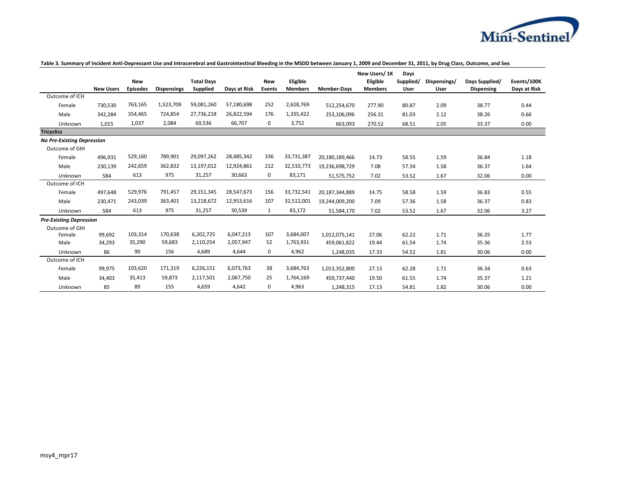

|                                   |                  |                 |                    |                   |              |              |                |                    | New Users/1K   | Days      |              |                   |              |
|-----------------------------------|------------------|-----------------|--------------------|-------------------|--------------|--------------|----------------|--------------------|----------------|-----------|--------------|-------------------|--------------|
|                                   |                  | <b>New</b>      |                    | <b>Total Days</b> |              | <b>New</b>   | Eligible       |                    | Eligible       | Supplied/ | Dispensings/ | Days Supplied/    | Events/100K  |
|                                   | <b>New Users</b> | <b>Episodes</b> | <b>Dispensings</b> | Supplied          | Days at Risk | Events       | <b>Members</b> | <b>Member-Days</b> | <b>Members</b> | User      | User         | <b>Dispensing</b> | Days at Risk |
| Outcome of ICH                    |                  |                 |                    |                   |              |              |                |                    |                |           |              |                   |              |
| Female                            | 730,530          | 763,165         | 1,523,709          | 59,081,260        | 57,180,698   | 252          | 2,628,769      | 512,254,670        | 277.90         | 80.87     | 2.09         | 38.77             | 0.44         |
| Male                              | 342,284          | 354,465         | 724,854            | 27,736,218        | 26,822,594   | 176          | 1,335,422      | 253,106,096        | 256.31         | 81.03     | 2.12         | 38.26             | 0.66         |
| Unknown                           | 1,015            | 1,037           | 2,084              | 69,536            | 66,707       | 0            | 3,752          | 663,093            | 270.52         | 68.51     | 2.05         | 33.37             | 0.00         |
| <b>Tricyclics</b>                 |                  |                 |                    |                   |              |              |                |                    |                |           |              |                   |              |
| <b>No Pre-Existing Depression</b> |                  |                 |                    |                   |              |              |                |                    |                |           |              |                   |              |
| Outcome of GIH                    |                  |                 |                    |                   |              |              |                |                    |                |           |              |                   |              |
| Female                            | 496,931          | 529,160         | 789,901            | 29,097,262        | 28,485,342   | 336          | 33,731,387     | 20,180,189,466     | 14.73          | 58.55     | 1.59         | 36.84             | 1.18         |
| Male                              | 230,139          | 242,659         | 362,832            | 13,197,012        | 12,924,861   | 212          | 32,510,773     | 19,236,698,729     | 7.08           | 57.34     | 1.58         | 36.37             | 1.64         |
| Unknown                           | 584              | 613             | 975                | 31,257            | 30,663       | 0            | 83,171         | 51,575,752         | 7.02           | 53.52     | 1.67         | 32.06             | 0.00         |
| Outcome of ICH                    |                  |                 |                    |                   |              |              |                |                    |                |           |              |                   |              |
| Female                            | 497,648          | 529,976         | 791,457            | 29,151,345        | 28,547,673   | 156          | 33,732,541     | 20,187,344,889     | 14.75          | 58.58     | 1.59         | 36.83             | 0.55         |
| Male                              | 230,471          | 243,039         | 363,401            | 13,218,672        | 12,953,616   | 107          | 32,512,001     | 19,244,009,200     | 7.09           | 57.36     | 1.58         | 36.37             | 0.83         |
| Unknown                           | 584              | 613             | 975                | 31,257            | 30,539       | $\mathbf{1}$ | 83,172         | 51,584,170         | 7.02           | 53.52     | 1.67         | 32.06             | 3.27         |
| <b>Pre-Existing Depression</b>    |                  |                 |                    |                   |              |              |                |                    |                |           |              |                   |              |
| Outcome of GIH                    |                  |                 |                    |                   |              |              |                |                    |                |           |              |                   |              |
| Female                            | 99,692           | 103,314         | 170,638            | 6,202,725         | 6,047,213    | 107          | 3,684,007      | 1,012,075,141      | 27.06          | 62.22     | 1.71         | 36.35             | 1.77         |
| Male                              | 34,293           | 35,290          | 59,683             | 2,110,254         | 2,057,947    | 52           | 1,763,931      | 459,061,822        | 19.44          | 61.54     | 1.74         | 35.36             | 2.53         |
| Unknown                           | 86               | 90              | 156                | 4,689             | 4,644        | 0            | 4,962          | 1,248,035          | 17.33          | 54.52     | 1.81         | 30.06             | 0.00         |
| Outcome of ICH                    |                  |                 |                    |                   |              |              |                |                    |                |           |              |                   |              |
| Female                            | 99,975           | 103,620         | 171,319            | 6,226,151         | 6,073,763    | 38           | 3,684,763      | 1,013,352,800      | 27.13          | 62.28     | 1.71         | 36.34             | 0.63         |
| Male                              | 34,403           | 35,413          | 59,873             | 2,117,501         | 2,067,750    | 25           | 1,764,169      | 459,737,440        | 19.50          | 61.55     | 1.74         | 35.37             | 1.21         |
| Unknown                           | 85               | 89              | 155                | 4,659             | 4,642        | 0            | 4,963          | 1,248,315          | 17.13          | 54.81     | 1.82         | 30.06             | 0.00         |

### **Table 3. Summary of Incident Anti-Depressant Use and Intracerebral and Gastrointestinal Bleeding in the MSDD between January 1, 2009 and December 31, 2011, by Drug Class, Outcome, and Sex**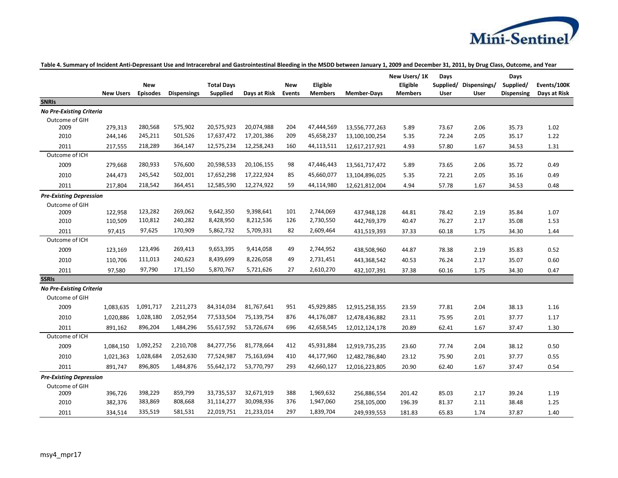

|                                 | <b>New Users</b> | <b>New</b><br><b>Episodes</b> | <b>Dispensings</b> | <b>Total Days</b><br>Supplied | Days at Risk | <b>New</b><br><b>Events</b> | Eligible<br><b>Members</b> | <b>Member-Days</b> | New Users/1K<br>Eligible<br><b>Members</b> | Days<br>User | Supplied/ Dispensings/<br>User | Days<br>Supplied/<br><b>Dispensing</b> | Events/100K<br>Days at Risk |
|---------------------------------|------------------|-------------------------------|--------------------|-------------------------------|--------------|-----------------------------|----------------------------|--------------------|--------------------------------------------|--------------|--------------------------------|----------------------------------------|-----------------------------|
| <b>SNRIS</b>                    |                  |                               |                    |                               |              |                             |                            |                    |                                            |              |                                |                                        |                             |
| <b>No Pre-Existing Criteria</b> |                  |                               |                    |                               |              |                             |                            |                    |                                            |              |                                |                                        |                             |
| Outcome of GIH                  |                  |                               |                    |                               |              |                             |                            |                    |                                            |              |                                |                                        |                             |
| 2009                            | 279,313          | 280,568                       | 575,902            | 20,575,923                    | 20,074,988   | 204                         | 47,444,569                 | 13,556,777,263     | 5.89                                       | 73.67        | 2.06                           | 35.73                                  | 1.02                        |
| 2010                            | 244,146          | 245,211                       | 501,526            | 17,637,472                    | 17,201,386   | 209                         | 45,658,237                 | 13,100,100,254     | 5.35                                       | 72.24        | 2.05                           | 35.17                                  | 1.22                        |
| 2011                            | 217,555          | 218,289                       | 364,147            | 12,575,234                    | 12,258,243   | 160                         | 44,113,511                 | 12,617,217,921     | 4.93                                       | 57.80        | 1.67                           | 34.53                                  | 1.31                        |
| Outcome of ICH                  |                  |                               |                    |                               |              |                             |                            |                    |                                            |              |                                |                                        |                             |
| 2009                            | 279,668          | 280,933                       | 576,600            | 20,598,533                    | 20,106,155   | 98                          | 47,446,443                 | 13,561,717,472     | 5.89                                       | 73.65        | 2.06                           | 35.72                                  | 0.49                        |
| 2010                            | 244,473          | 245,542                       | 502,001            | 17,652,298                    | 17,222,924   | 85                          | 45,660,077                 | 13,104,896,025     | 5.35                                       | 72.21        | 2.05                           | 35.16                                  | 0.49                        |
| 2011                            | 217,804          | 218,542                       | 364,451            | 12,585,590                    | 12,274,922   | 59                          | 44,114,980                 | 12,621,812,004     | 4.94                                       | 57.78        | 1.67                           | 34.53                                  | 0.48                        |
| <b>Pre-Existing Depression</b>  |                  |                               |                    |                               |              |                             |                            |                    |                                            |              |                                |                                        |                             |
| Outcome of GIH                  |                  |                               |                    |                               |              |                             |                            |                    |                                            |              |                                |                                        |                             |
| 2009                            | 122,958          | 123,282                       | 269,062            | 9,642,350                     | 9,398,641    | 101                         | 2,744,069                  | 437,948,128        | 44.81                                      | 78.42        | 2.19                           | 35.84                                  | 1.07                        |
| 2010                            | 110,509          | 110,812                       | 240,282            | 8,428,950                     | 8,212,536    | 126                         | 2,730,550                  | 442,769,379        | 40.47                                      | 76.27        | 2.17                           | 35.08                                  | 1.53                        |
| 2011                            | 97,415           | 97,625                        | 170,909            | 5,862,732                     | 5,709,331    | 82                          | 2,609,464                  | 431,519,393        | 37.33                                      | 60.18        | 1.75                           | 34.30                                  | 1.44                        |
| Outcome of ICH                  |                  |                               |                    |                               |              |                             |                            |                    |                                            |              |                                |                                        |                             |
| 2009                            | 123,169          | 123,496                       | 269,413            | 9,653,395                     | 9,414,058    | 49                          | 2,744,952                  | 438,508,960        | 44.87                                      | 78.38        | 2.19                           | 35.83                                  | 0.52                        |
| 2010                            | 110,706          | 111,013                       | 240,623            | 8,439,699                     | 8,226,058    | 49                          | 2,731,451                  | 443,368,542        | 40.53                                      | 76.24        | 2.17                           | 35.07                                  | 0.60                        |
| 2011                            | 97,580           | 97,790                        | 171,150            | 5,870,767                     | 5,721,626    | 27                          | 2,610,270                  | 432,107,391        | 37.38                                      | 60.16        | 1.75                           | 34.30                                  | 0.47                        |
| <b>SSRIs</b>                    |                  |                               |                    |                               |              |                             |                            |                    |                                            |              |                                |                                        |                             |
| <b>No Pre-Existing Criteria</b> |                  |                               |                    |                               |              |                             |                            |                    |                                            |              |                                |                                        |                             |
| Outcome of GIH                  |                  |                               |                    |                               |              |                             |                            |                    |                                            |              |                                |                                        |                             |
| 2009                            | 1,083,635        | 1,091,717                     | 2,211,273          | 84,314,034                    | 81,767,641   | 951                         | 45,929,885                 | 12,915,258,355     | 23.59                                      | 77.81        | 2.04                           | 38.13                                  | 1.16                        |
| 2010                            | 1,020,886        | 1,028,180                     | 2,052,954          | 77,533,504                    | 75,139,754   | 876                         | 44,176,087                 | 12,478,436,882     | 23.11                                      | 75.95        | 2.01                           | 37.77                                  | 1.17                        |
| 2011                            | 891,162          | 896,204                       | 1,484,296          | 55,617,592                    | 53,726,674   | 696                         | 42,658,545                 | 12,012,124,178     | 20.89                                      | 62.41        | 1.67                           | 37.47                                  | 1.30                        |
| Outcome of ICH                  |                  |                               |                    |                               |              |                             |                            |                    |                                            |              |                                |                                        |                             |
| 2009                            | 1,084,150        | 1,092,252                     | 2,210,708          | 84,277,756                    | 81,778,664   | 412                         | 45,931,884                 | 12,919,735,235     | 23.60                                      | 77.74        | 2.04                           | 38.12                                  | 0.50                        |
| 2010                            | 1,021,363        | 1,028,684                     | 2,052,630          | 77,524,987                    | 75,163,694   | 410                         | 44,177,960                 | 12,482,786,840     | 23.12                                      | 75.90        | 2.01                           | 37.77                                  | 0.55                        |
| 2011                            | 891,747          | 896,805                       | 1,484,876          | 55,642,172                    | 53,770,797   | 293                         | 42,660,127                 | 12,016,223,805     | 20.90                                      | 62.40        | 1.67                           | 37.47                                  | 0.54                        |
| <b>Pre-Existing Depression</b>  |                  |                               |                    |                               |              |                             |                            |                    |                                            |              |                                |                                        |                             |
| Outcome of GIH                  |                  |                               |                    |                               |              |                             |                            |                    |                                            |              |                                |                                        |                             |
| 2009                            | 396,726          | 398,229                       | 859,799            | 33,735,537                    | 32,671,919   | 388                         | 1,969,632                  | 256,886,554        | 201.42                                     | 85.03        | 2.17                           | 39.24                                  | 1.19                        |
| 2010                            | 382,376          | 383,869                       | 808,668            | 31,114,277                    | 30,098,936   | 376                         | 1,947,060                  | 258,105,000        | 196.39                                     | 81.37        | 2.11                           | 38.48                                  | 1.25                        |
| 2011                            | 334,514          | 335,519                       | 581,531            | 22,019,751                    | 21,233,014   | 297                         | 1,839,704                  | 249,939,553        | 181.83                                     | 65.83        | 1.74                           | 37.87                                  | 1.40                        |